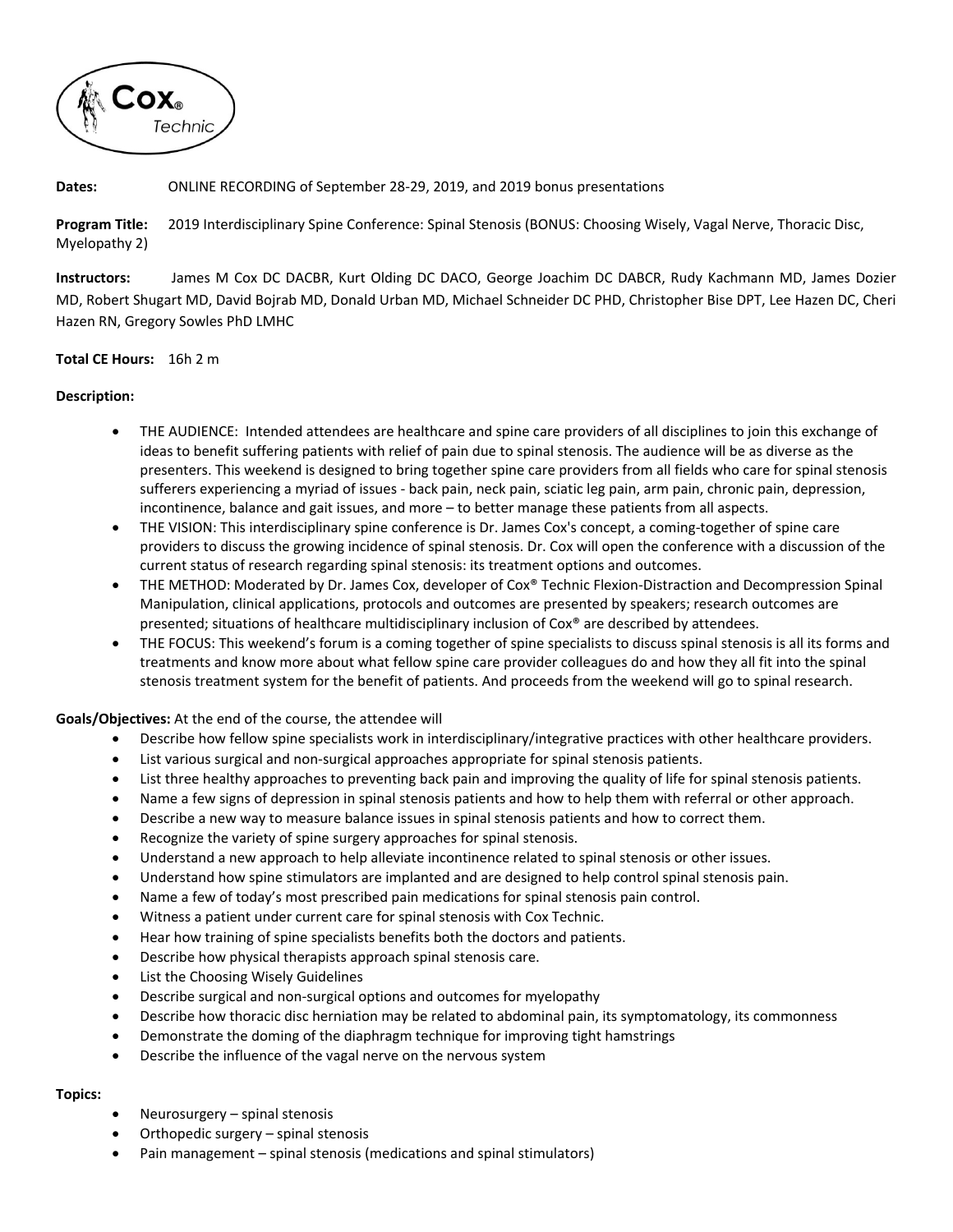

## **Dates:** ONLINE RECORDING of September 28‐29, 2019, and 2019 bonus presentations

**Program Title:** 2019 Interdisciplinary Spine Conference: Spinal Stenosis (BONUS: Choosing Wisely, Vagal Nerve, Thoracic Disc, Myelopathy 2)

**Instructors:**  James M Cox DC DACBR, Kurt Olding DC DACO, George Joachim DC DABCR, Rudy Kachmann MD, James Dozier MD, Robert Shugart MD, David Bojrab MD, Donald Urban MD, Michael Schneider DC PHD, Christopher Bise DPT, Lee Hazen DC, Cheri Hazen RN, Gregory Sowles PhD LMHC

## **Total CE Hours:** 16h 2 m

#### **Description:**

- THE AUDIENCE: Intended attendees are healthcare and spine care providers of all disciplines to join this exchange of ideas to benefit suffering patients with relief of pain due to spinal stenosis. The audience will be as diverse as the presenters. This weekend is designed to bring together spine care providers from all fields who care for spinal stenosis sufferers experiencing a myriad of issues ‐ back pain, neck pain, sciatic leg pain, arm pain, chronic pain, depression, incontinence, balance and gait issues, and more – to better manage these patients from all aspects.
- THE VISION: This interdisciplinary spine conference is Dr. James Cox's concept, a coming-together of spine care providers to discuss the growing incidence of spinal stenosis. Dr. Cox will open the conference with a discussion of the current status of research regarding spinal stenosis: its treatment options and outcomes.
- THE METHOD: Moderated by Dr. James Cox, developer of Cox® Technic Flexion‐Distraction and Decompression Spinal Manipulation, clinical applications, protocols and outcomes are presented by speakers; research outcomes are presented; situations of healthcare multidisciplinary inclusion of Cox® are described by attendees.
- THE FOCUS: This weekend's forum is a coming together of spine specialists to discuss spinal stenosis is all its forms and treatments and know more about what fellow spine care provider colleagues do and how they all fit into the spinal stenosis treatment system for the benefit of patients. And proceeds from the weekend will go to spinal research.

**Goals/Objectives:** At the end of the course, the attendee will

- Describe how fellow spine specialists work in interdisciplinary/integrative practices with other healthcare providers.
- List various surgical and non-surgical approaches appropriate for spinal stenosis patients.
- List three healthy approaches to preventing back pain and improving the quality of life for spinal stenosis patients.
- Name a few signs of depression in spinal stenosis patients and how to help them with referral or other approach.
- Describe a new way to measure balance issues in spinal stenosis patients and how to correct them.
- Recognize the variety of spine surgery approaches for spinal stenosis.
- Understand a new approach to help alleviate incontinence related to spinal stenosis or other issues.
- Understand how spine stimulators are implanted and are designed to help control spinal stenosis pain.
- Name a few of today's most prescribed pain medications for spinal stenosis pain control.
- Witness a patient under current care for spinal stenosis with Cox Technic.
- Hear how training of spine specialists benefits both the doctors and patients.
- Describe how physical therapists approach spinal stenosis care.
- List the Choosing Wisely Guidelines
- Describe surgical and non‐surgical options and outcomes for myelopathy
- Describe how thoracic disc herniation may be related to abdominal pain, its symptomatology, its commonness
- Demonstrate the doming of the diaphragm technique for improving tight hamstrings
- Describe the influence of the vagal nerve on the nervous system

#### **Topics:**

- Neurosurgery spinal stenosis
- Orthopedic surgery spinal stenosis
- Pain management spinal stenosis (medications and spinal stimulators)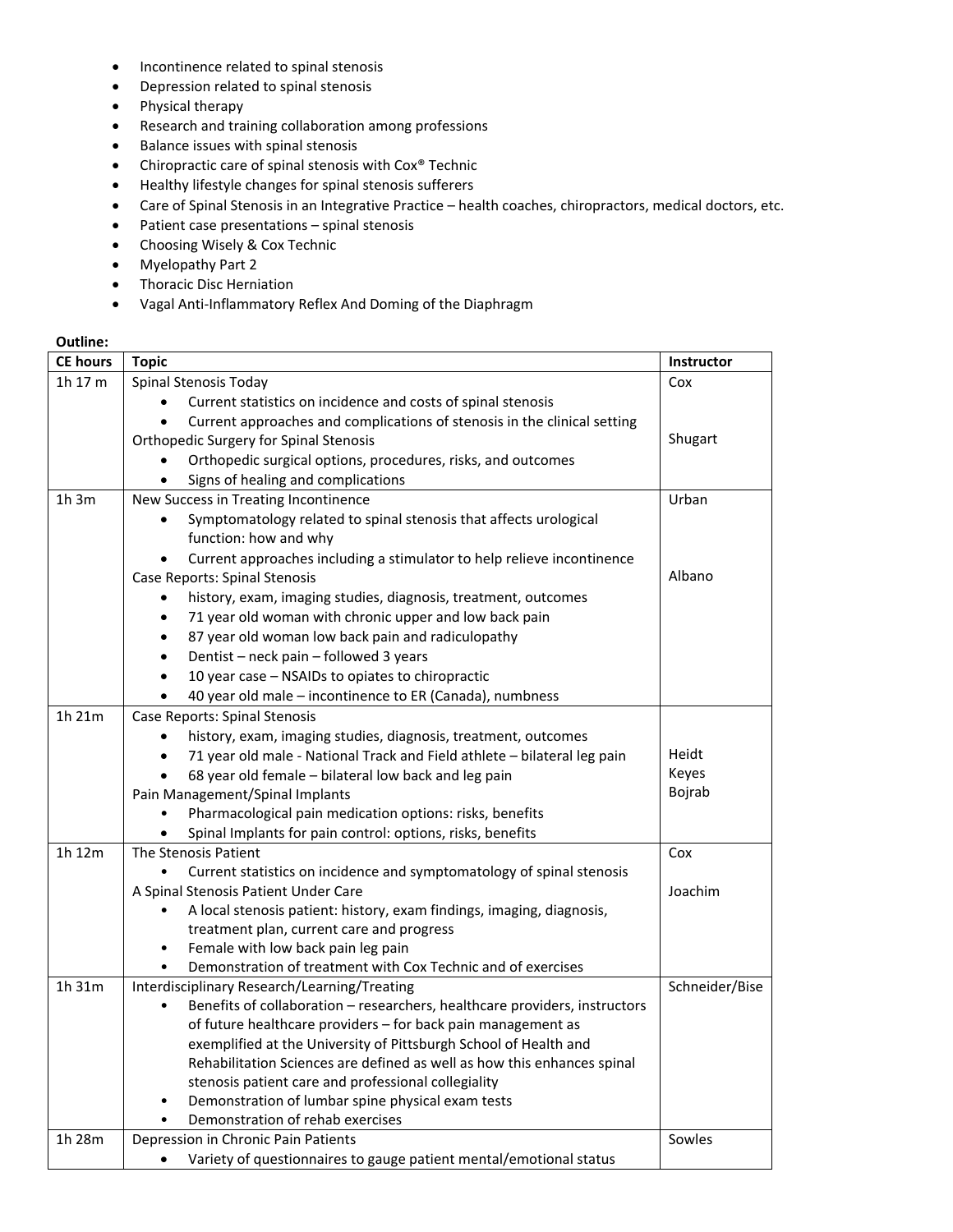- Incontinence related to spinal stenosis
- Depression related to spinal stenosis
- Physical therapy
- Research and training collaboration among professions
- Balance issues with spinal stenosis
- Chiropractic care of spinal stenosis with Cox® Technic
- Healthy lifestyle changes for spinal stenosis sufferers
- Care of Spinal Stenosis in an Integrative Practice health coaches, chiropractors, medical doctors, etc.
- Patient case presentations spinal stenosis
- Choosing Wisely & Cox Technic
- Myelopathy Part 2
- **•** Thoracic Disc Herniation
- Vagal Anti‐Inflammatory Reflex And Doming of the Diaphragm

# **Outline:**

| <b>CE hours</b> | <b>Topic</b>                                                                            | Instructor     |
|-----------------|-----------------------------------------------------------------------------------------|----------------|
| 1 $h$ 17 $m$    | Spinal Stenosis Today                                                                   | Cox            |
|                 | Current statistics on incidence and costs of spinal stenosis                            |                |
|                 | Current approaches and complications of stenosis in the clinical setting<br>$\bullet$   |                |
|                 | <b>Orthopedic Surgery for Spinal Stenosis</b>                                           | Shugart        |
|                 | Orthopedic surgical options, procedures, risks, and outcomes<br>$\bullet$               |                |
|                 | Signs of healing and complications<br>$\bullet$                                         |                |
| 1h3m            | New Success in Treating Incontinence                                                    | Urban          |
|                 | Symptomatology related to spinal stenosis that affects urological                       |                |
|                 | function: how and why                                                                   |                |
|                 | Current approaches including a stimulator to help relieve incontinence<br>$\bullet$     |                |
|                 | Case Reports: Spinal Stenosis                                                           | Albano         |
|                 | history, exam, imaging studies, diagnosis, treatment, outcomes<br>$\bullet$             |                |
|                 | 71 year old woman with chronic upper and low back pain<br>٠                             |                |
|                 | 87 year old woman low back pain and radiculopathy<br>$\bullet$                          |                |
|                 | Dentist - neck pain - followed 3 years<br>$\bullet$                                     |                |
|                 | 10 year case - NSAIDs to opiates to chiropractic<br>$\bullet$                           |                |
|                 | 40 year old male - incontinence to ER (Canada), numbness<br>$\bullet$                   |                |
| 1h 21m          | Case Reports: Spinal Stenosis                                                           |                |
|                 | history, exam, imaging studies, diagnosis, treatment, outcomes                          |                |
|                 | 71 year old male - National Track and Field athlete - bilateral leg pain                | Heidt          |
|                 | 68 year old female - bilateral low back and leg pain                                    | Keyes          |
|                 | Pain Management/Spinal Implants                                                         | Bojrab         |
|                 | Pharmacological pain medication options: risks, benefits                                |                |
|                 | Spinal Implants for pain control: options, risks, benefits                              |                |
| 1h 12m          | The Stenosis Patient                                                                    | Cox            |
|                 | Current statistics on incidence and symptomatology of spinal stenosis                   |                |
|                 | A Spinal Stenosis Patient Under Care                                                    | Joachim        |
|                 | A local stenosis patient: history, exam findings, imaging, diagnosis,<br>$\bullet$      |                |
|                 | treatment plan, current care and progress                                               |                |
|                 | Female with low back pain leg pain<br>$\bullet$                                         |                |
|                 | Demonstration of treatment with Cox Technic and of exercises<br>$\bullet$               |                |
| 1h 31m          | Interdisciplinary Research/Learning/Treating                                            | Schneider/Bise |
|                 | Benefits of collaboration - researchers, healthcare providers, instructors<br>$\bullet$ |                |
|                 | of future healthcare providers - for back pain management as                            |                |
|                 | exemplified at the University of Pittsburgh School of Health and                        |                |
|                 | Rehabilitation Sciences are defined as well as how this enhances spinal                 |                |
|                 | stenosis patient care and professional collegiality                                     |                |
|                 | Demonstration of lumbar spine physical exam tests<br>$\bullet$                          |                |
|                 | Demonstration of rehab exercises                                                        |                |
| 1h 28m          | Depression in Chronic Pain Patients                                                     | Sowles         |
|                 | Variety of questionnaires to gauge patient mental/emotional status                      |                |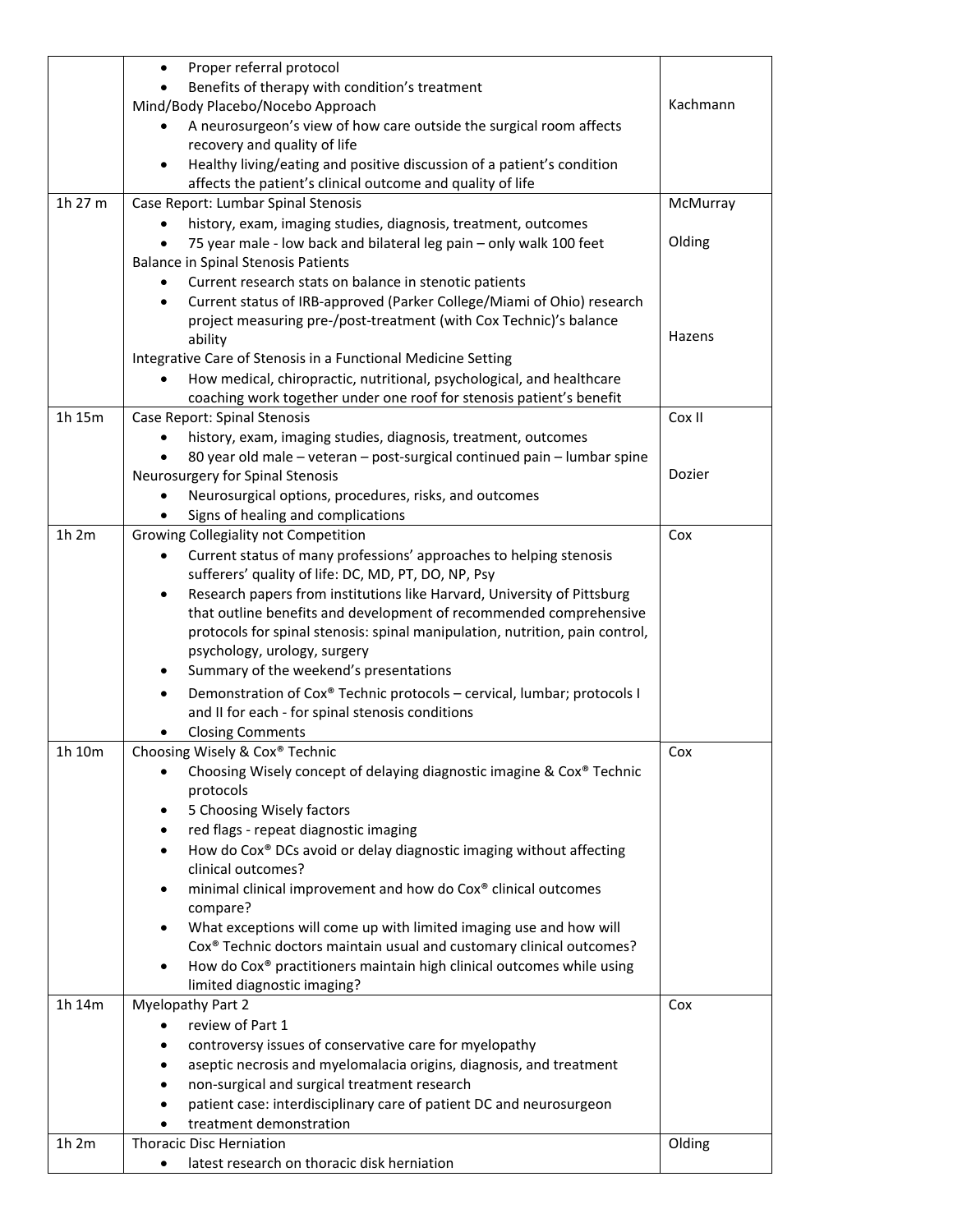|         | Proper referral protocol<br>$\bullet$                                                                                                    |          |
|---------|------------------------------------------------------------------------------------------------------------------------------------------|----------|
|         | Benefits of therapy with condition's treatment                                                                                           |          |
|         | Mind/Body Placebo/Nocebo Approach                                                                                                        | Kachmann |
|         | A neurosurgeon's view of how care outside the surgical room affects                                                                      |          |
|         | recovery and quality of life                                                                                                             |          |
|         | Healthy living/eating and positive discussion of a patient's condition<br>$\bullet$                                                      |          |
|         | affects the patient's clinical outcome and quality of life                                                                               |          |
| 1h 27 m | Case Report: Lumbar Spinal Stenosis                                                                                                      | McMurray |
|         | history, exam, imaging studies, diagnosis, treatment, outcomes                                                                           |          |
|         | 75 year male - low back and bilateral leg pain - only walk 100 feet                                                                      | Olding   |
|         | <b>Balance in Spinal Stenosis Patients</b>                                                                                               |          |
|         | Current research stats on balance in stenotic patients<br>٠                                                                              |          |
|         | Current status of IRB-approved (Parker College/Miami of Ohio) research<br>$\bullet$                                                      |          |
|         | project measuring pre-/post-treatment (with Cox Technic)'s balance                                                                       |          |
|         | ability                                                                                                                                  | Hazens   |
|         | Integrative Care of Stenosis in a Functional Medicine Setting                                                                            |          |
|         | How medical, chiropractic, nutritional, psychological, and healthcare<br>$\bullet$                                                       |          |
|         | coaching work together under one roof for stenosis patient's benefit                                                                     |          |
| 1h 15m  | Case Report: Spinal Stenosis                                                                                                             | Cox II   |
|         | history, exam, imaging studies, diagnosis, treatment, outcomes                                                                           |          |
|         | 80 year old male - veteran - post-surgical continued pain - lumbar spine                                                                 |          |
|         | Neurosurgery for Spinal Stenosis                                                                                                         | Dozier   |
|         | Neurosurgical options, procedures, risks, and outcomes                                                                                   |          |
|         | Signs of healing and complications                                                                                                       |          |
| 1h 2m   | Growing Collegiality not Competition                                                                                                     | Cox      |
|         | Current status of many professions' approaches to helping stenosis                                                                       |          |
|         | sufferers' quality of life: DC, MD, PT, DO, NP, Psy                                                                                      |          |
|         | Research papers from institutions like Harvard, University of Pittsburg<br>$\bullet$                                                     |          |
|         | that outline benefits and development of recommended comprehensive                                                                       |          |
|         | protocols for spinal stenosis: spinal manipulation, nutrition, pain control,                                                             |          |
|         | psychology, urology, surgery<br>Summary of the weekend's presentations                                                                   |          |
|         |                                                                                                                                          |          |
|         | Demonstration of Cox® Technic protocols - cervical, lumbar; protocols I<br>$\bullet$<br>and II for each - for spinal stenosis conditions |          |
|         |                                                                                                                                          |          |
| 1h 10m  | <b>Closing Comments</b><br>Choosing Wisely & Cox® Technic                                                                                |          |
|         | Choosing Wisely concept of delaying diagnostic imagine & Cox® Technic<br>$\bullet$                                                       | Cox      |
|         | protocols                                                                                                                                |          |
|         | 5 Choosing Wisely factors<br>٠                                                                                                           |          |
|         | red flags - repeat diagnostic imaging<br>٠                                                                                               |          |
|         | How do Cox® DCs avoid or delay diagnostic imaging without affecting<br>$\bullet$                                                         |          |
|         | clinical outcomes?                                                                                                                       |          |
|         | minimal clinical improvement and how do Cox® clinical outcomes<br>٠                                                                      |          |
|         | compare?                                                                                                                                 |          |
|         | What exceptions will come up with limited imaging use and how will<br>$\bullet$                                                          |          |
|         | Cox® Technic doctors maintain usual and customary clinical outcomes?                                                                     |          |
|         | How do Cox® practitioners maintain high clinical outcomes while using<br>$\bullet$                                                       |          |
|         | limited diagnostic imaging?                                                                                                              |          |
| 1h 14m  | <b>Myelopathy Part 2</b>                                                                                                                 | Cox      |
|         | review of Part 1                                                                                                                         |          |
|         | controversy issues of conservative care for myelopathy                                                                                   |          |
|         | aseptic necrosis and myelomalacia origins, diagnosis, and treatment<br>٠                                                                 |          |
|         | non-surgical and surgical treatment research                                                                                             |          |
|         | patient case: interdisciplinary care of patient DC and neurosurgeon                                                                      |          |
|         | treatment demonstration                                                                                                                  |          |
| 1h 2m   | <b>Thoracic Disc Herniation</b>                                                                                                          | Olding   |
|         | latest research on thoracic disk herniation<br>٠                                                                                         |          |